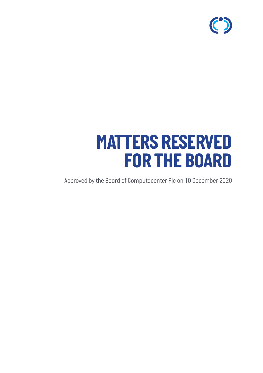

# *MATTERS RESERVED FOR THE BOARD*

*Approved by the Board of Computacenter Plc on 10 December 2020*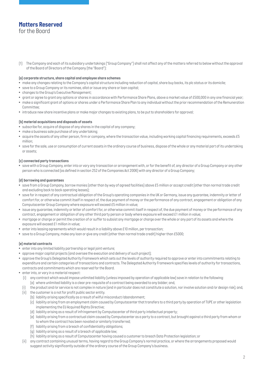### *Matters Reserved for the Board*

*(1) The Company and each of its subsidiary undertakings ("Group Company") shall not affect any of the matters referred to below without the approval of the Board of Directors of the Company (the "Board"):*

#### *(a) corporate structure, share capital and employee share schemes*

- *• make any changes relating to the Company's capital structure including reduction of capital, share buy backs, its plc status or its domicile;*
- *• save to a Group Company or its nominee, allot or issue any share or loan capital;*
- *• changes to the Group's Executive Management;*
- *• grant or agree to grant any options or shares in accordance with Performance Share Plans, above a market value of £500,000 in any one financial year;*
- make a significant grant of options or shares under a Performance Share Plan to any individual without the prior recommendation of the Remuneration *Committee;*
- *• introduce new share incentive plans or make major changes to existing plans, to be put to shareholders for approval;*

#### *(b) material acquisitions and disposals of assets*

- *• subscribe for, acquire of dispose of any shares in the capital of any company;*
- *• make a business sale purchase of any undertaking;*
- *acquire the assets of any other person, firm or company, where the transaction value, including working capital financing requirements, exceeds £5 million;*
- *save for the sale, use or consumption of current assets in the ordinary course of business, dispose of the whole or any material part of its undertaking or assets;*

#### *(c) connected party transactions*

*• save with a Group Company, enter into or vary any transaction or arrangement with, or for the benefit of, any director of a Group Company or any other person who is connected (as defined in section 252 of the Companies Act 2006) with any director of a Group Company;*

#### *(d) borrowing and guarantees*

- *save from a Group Company, borrow monies (other than by way of agreed facilities) above £5 million or accept credit (other than normal trade credit and excluding back to back operating leases);*
- *save for in respect of any contractual obligation of the Group's operating companies in the UK or Germany, issue any guarantee, indemnity or letter of comfort for, or otherwise commit itself in respect of, the due payment of money or the performance of any contract, engagement or obligation of any Computacenter Group Company where exposure will exceed £5 million in value;*
- *issue any guarantee, indemnity or letter of comfort for, or otherwise commit itself in respect of, the due payment of money or the performance of any contract, engagement or obligation of any other third party person or body where exposure will exceed £1 million in value;*
- *mortgage or charge or permit the creation of or suffer to subsist any mortgage or charge over the whole or any part of its assets and where the exposure will exceed £1 million in value;*
- *• enter into leasing agreements which would result in a liability above £10 million, per transaction;*
- *• save to a Group Company, make any loan or give any credit (other than normal trade credit) higher than £5000;*

#### *(e) material contracts*

- *• enter into any limited liability partnership or legal joint venture;*
- *• approve major capital projects (and oversee the execution and delivery of such project);*
- *approve the Group's Delegated Authority Framework which sets out the levels of authority required to approve or enter into commitments relating to expenditure and certain categories of transactions and contracts. The Delegated Authority Framework specifies levels of authority for transactions, contracts and commitments which are reserved for the Board.*
- *• enter into, or vary in a material respect:*
	- *(i) any contract which would impose unlimited liability (unless imposed by operation of applicable law) save in relation to the following: (a) where unlimited liability is a clear pre-requisite of a contract being awarded to any bidder; and,*
	- *(i) the product and/or service is not complex in nature (and in particular does not constitute a solution, nor involve solution and/or design risk); and,*
	- *(ii) the customer is a not for profit public sector entity.*
		- *(b) liability arising specifically as a result of wilful misconduct/abandonment;*
		- *(c) liability arising from an employment claim caused by Computacenter that transfers to a third party by operation of TUPE or other legislation implementing the EU Acquired Rights Directive;*
		- *(d) liability arising as a result of infringement by Computacenter of third party intellectual property;*
		- *(e) liability arising from a contractual claim caused by Computacenter as a party to a contract, but brought against a third party from whom or to whom the contract has been novated or similarly transferred;*
		- *(f) liability arising from a breach of confidentiality obligations;*
		- *(g) liability arising as a result of a breach of applicable law;*
		- *(h) liability arising as a result of Computacenter having caused a customer to breach Data Protection legislation; or*
	- *(ii) any contract containing unusual terms, having regard to the Group Company's normal practice, or where the arrangements proposed would suggest activity significantly outside of the ordinary course of the Group Company's business.*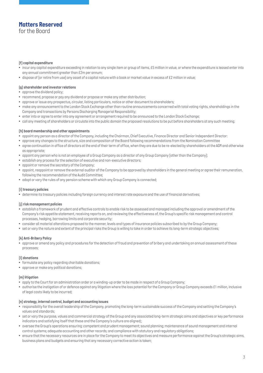# *Matters Reserved*

*for the Board*

#### *(f) capital expenditure*

- *incur any capital expenditure exceeding in relation to any single item or group of items, £5 million in value, or where the expenditure is leased enter into any annual commitment greater than £2m per annum;*
- *• dispose of (or retire from use) any asset of a capital nature with a book or market value in excess of £2 million in value;*

#### *(g) shareholder and investor relations*

- *• approve the dividend policy;*
- *• recommend, propose or pay any dividend or propose or make any other distribution;*
- *• approve or issue any prospectus, circular, listing particulars, notice or other document to shareholders;*
- make any announcement to the London Stock Exchange other than routine announcements concerned with total voting rights, shareholdings in the *Company and transactions by Persons Discharging Managerial Responsibility;*
- *• enter into or agree to enter into any agreement or arrangement required to be announced to the London Stock Exchange;*
- *• call any meeting of shareholders or circulate into the public domain the proposed resolutions to be put before shareholders at any such meeting;*

#### *(h) board membership and other appointments*

- *• appoint any person as a director of the Company, including the Chairman, Chief Executive, Finance Director and Senior Independent Director:*
- *approve any changes to the structure, size and composition of the Board following recommendations from the Nomination Committee*
- *agree continuation in office of directors at the end of their term of office, when they are due to be re-elected by shareholders at the AGM and otherwise as appropriate;*
- *appoint any person who is not an employee of a Group Company as a director of any Group Company (other than the Company);*
- *establish any process for the selection of executive and non-executive directors;*
- *appoint or remove the secretary of the Company;*
- *appoint, reappoint or remove the external auditor of the Company to be approved by shareholders in the general meeting or agree their remuneration, following the recommendation of the Audit Committee;*
- *adopt or vary the rules of any pension scheme with which any Group Company is connected;*

#### *(i) treasury policies*

*• determine its treasury policies including foreign currency and interest rate exposure and the use of financial derivatives;*

#### *(j) risk management policies*

- *establish a framework of prudent and effective controls to enable risk to be assessed and managed including the approval or amendment of the Company's risk appetite statement, receiving reports on, and reviewing the effectiveness of, the Group's specific risk management and control processes, hedging, borrowing limits and corporate security;*
- *consider all material alterations proposed to the manner, levels and types of insurance policies subscribed to by the Group Company;*
- *set or vary the nature and extent of the principal risks the Group is willing to take in order to achieve its long-term strategic objectives;*

#### *(k) Anti-Bribery Policy*

*• approve or amend any policy and procedures for the detection of fraud and prevention of bribery and undertaking an annual assessment of these processes;*

#### *(l) donations*

- *• formulate any policy regarding charitable donations;*
- *• approve or make any political donations;*

#### *(m) litigation*

- *• apply to the Court for an administration order or a winding-up order to be made in respect of a Group Company;*
- *authorise the instigation of or defence against any litigation where the loss potential for the Company or Group Company exceeds £1 million, inclusive of legal costs likely to be incurred;*

#### *(n) strategy, internal control, budget and accounting issues*

- responsibility for the overall leadership of the Company, promoting the long-term sustainable success of the Company and setting the Company's *values and standards;*
- *set or vary the purpose, values and commercial strategy of the Group and any associated long-term strategic aims and objectives or key performance indicators and satisfying itself that these and the Company's culture are aligned;;*
- oversee the Group's operations ensuring: competent and prudent management; sound planning; maintenance of sound management and internal *control systems; adequate accounting and other records; and compliance with statutory and regulatory obligations;*
- *ensure that the necessary resources are in place for the Company to meet its objectives and measure performance against the Group's strategic aims, business plans and budgets and ensuring that any necessary corrective action is taken;*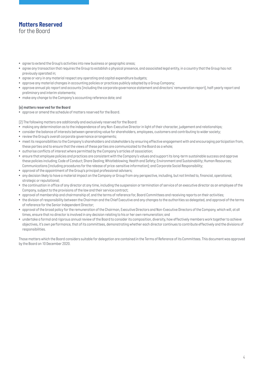## *Matters Reserved for the Board*

- *agree to extend the Group's activities into new business or geographic areas;*
- *agree any transaction that requires the Group to establish a physical presence, and associated legal entity, in a country that the Group has not previously operated in;*
- *agree or vary in any material respect any operating and capital expenditure budgets;*
- *approve any material changes in accounting policies or practices publicly adopted by a Group Company;*
- *approve annual plc report and accounts (including the corporate governance statement and directors' remuneration report), half-yearly report and preliminary and interim statements;*
- *make any change to the Company's accounting reference date; and*

#### *(o) matters reserved for the Board*

*• approve or amend the schedule of matters reserved for the Board.*

*(2) The following matters are additionally and exclusively reserved for the Board:*

- *• making any determination as to the independence of any Non-Executive Director in light of their character, judgement and relationships;*
- *consider the balance of interests between generating value for shareholders, employees, customers and contributing to wider society;*
- *review the Group's overall corporate governance arrangements;*
- *meet its responsibilities to the Company's shareholders and stakeholders by ensuring effective engagement with and encouraging participation from, these parties and to ensure that the views of these parties are communicated to the Board as a whole;*
- *authorise conflicts of interest where permitted by the Company's articles of association;*
- *ensure that employee policies and practices are consistent with the Company's values and support its long-term sustainable success and approve these policies including; Code of Conduct; Share Dealing; Whistleblowing; Health and Safety; Environment and Sustainability; Human Resources; Communications (including procedures for the release of price-sensitive information); and Corporate Social Responsibility;*
- *approval of the appointment of the Group's principal professional advisers;*
- *any decision likely to have a material impact on the Company or Group from any perspective, including, but not limited to, financial, operational, strategic or reputational;*
- *the continuation in office of any director at any time, including the suspension or termination of service of an executive director as an employee of the Company, subject to the provisions of the law and their service contract;*
- *approval of membership and chairmanship of, and the terms of reference for, Board Committees and receiving reports on their activities;*
- *the division of responsibility between the Chairman and the Chief Executive and any changes to the authorities so delegated, and approval of the terms of reference for the Senior Independent Director;*
- *approval of the broad policy for the remuneration of the Chairman, Executive Directors and Non-Executive Directors of the Company, which will, at all times, ensure that no director is involved in any decision relating to his or her own remuneration; and*
- undertake a formal and rigorous annual review of the Board to consider its composition, diversity, how effectively members work together to achieve *objectives, it's own performance, that of its committees, demonstrating whether each director continues to contribute effectively and the divisions of responsibilities.*

*Those matters which the Board considers suitable for delegation are contained in the Terms of Reference of its Committees. This document was approved by the Board on 10 December 2020.*